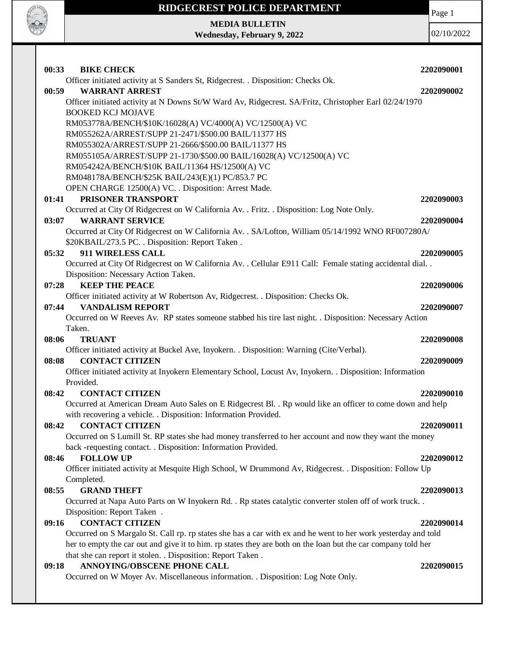

**CALL OF CALL** 

**MEDIA BULLETIN Wednesday, February 9, 2022**

| 00:33<br><b>BIKE CHECK</b>                                                                                                                         | 2202090001 |
|----------------------------------------------------------------------------------------------------------------------------------------------------|------------|
| Officer initiated activity at S Sanders St, Ridgecrest. . Disposition: Checks Ok.                                                                  |            |
| 00:59<br><b>WARRANT ARREST</b>                                                                                                                     | 2202090002 |
| Officer initiated activity at N Downs St/W Ward Av, Ridgecrest. SA/Fritz, Christopher Earl 02/24/1970<br><b>BOOKED KCJ MOJAVE</b>                  |            |
|                                                                                                                                                    |            |
| RM053778A/BENCH/\$10K/16028(A) VC/4000(A) VC/12500(A) VC<br>RM055262A/ARREST/SUPP 21-2471/\$500.00 BAIL/11377 HS                                   |            |
| RM055302A/ARREST/SUPP 21-2666/\$500.00 BAIL/11377 HS                                                                                               |            |
| RM055105A/ARREST/SUPP 21-1730/\$500.00 BAIL/16028(A) VC/12500(A) VC                                                                                |            |
| RM054242A/BENCH/\$10K BAIL/11364 HS/12500(A) VC                                                                                                    |            |
| RM048178A/BENCH/\$25K BAIL/243(E)(1) PC/853.7 PC                                                                                                   |            |
| OPEN CHARGE 12500(A) VC. . Disposition: Arrest Made.                                                                                               |            |
| PRISONER TRANSPORT<br>01:41                                                                                                                        | 2202090003 |
| Occurred at City Of Ridgecrest on W California Av. . Fritz. . Disposition: Log Note Only.                                                          |            |
| <b>WARRANT SERVICE</b><br>03:07                                                                                                                    | 2202090004 |
|                                                                                                                                                    |            |
| Occurred at City Of Ridgecrest on W California Av. . SA/Lofton, William 05/14/1992 WNO RF007280A/                                                  |            |
| \$20KBAIL/273.5 PC. . Disposition: Report Taken.<br>911 WIRELESS CALL                                                                              |            |
| 05:32                                                                                                                                              | 2202090005 |
| Occurred at City Of Ridgecrest on W California Av. . Cellular E911 Call: Female stating accidental dial. .<br>Disposition: Necessary Action Taken. |            |
| <b>KEEP THE PEACE</b>                                                                                                                              |            |
| 07:28                                                                                                                                              | 2202090006 |
| Officer initiated activity at W Robertson Av, Ridgecrest. . Disposition: Checks Ok.<br><b>VANDALISM REPORT</b>                                     |            |
| 07:44                                                                                                                                              | 2202090007 |
| Occurred on W Reeves Av. RP states someone stabbed his tire last night. . Disposition: Necessary Action<br>Taken.                                  |            |
| 08:06<br><b>TRUANT</b>                                                                                                                             | 2202090008 |
| Officer initiated activity at Buckel Ave, Inyokern. . Disposition: Warning (Cite/Verbal).                                                          |            |
| <b>CONTACT CITIZEN</b><br>08:08                                                                                                                    | 2202090009 |
|                                                                                                                                                    |            |
| Officer initiated activity at Inyokern Elementary School, Locust Av, Inyokern. . Disposition: Information<br>Provided.                             |            |
| <b>CONTACT CITIZEN</b><br>08:42                                                                                                                    | 2202090010 |
| Occurred at American Dream Auto Sales on E Ridgecrest Bl. . Rp would like an officer to come down and help                                         |            |
| with recovering a vehicle. . Disposition: Information Provided.                                                                                    |            |
| <b>CONTACT CITIZEN</b><br>08:42                                                                                                                    | 2202090011 |
| Occurred on S Lumill St. RP states she had money transferred to her account and now they want the money                                            |            |
| back -requesting contact. . Disposition: Information Provided.                                                                                     |            |
| <b>FOLLOW UP</b><br>08:46                                                                                                                          | 2202090012 |
| Officer initiated activity at Mesquite High School, W Drummond Av, Ridgecrest. . Disposition: Follow Up                                            |            |
| Completed.                                                                                                                                         |            |
| 08:55<br><b>GRAND THEFT</b>                                                                                                                        | 2202090013 |
| Occurred at Napa Auto Parts on W Inyokern Rd. . Rp states catalytic converter stolen off of work truck. .                                          |            |
| Disposition: Report Taken.                                                                                                                         |            |
| <b>CONTACT CITIZEN</b><br>09:16                                                                                                                    | 2202090014 |
| Occurred on S Margalo St. Call rp. rp states she has a car with ex and he went to her work yesterday and told                                      |            |
| her to empty the car out and give it to him. rp states they are both on the loan but the car company told her                                      |            |
| that she can report it stolen. . Disposition: Report Taken.                                                                                        |            |
| ANNOYING/OBSCENE PHONE CALL<br>09:18                                                                                                               | 2202090015 |
| Occurred on W Moyer Av. Miscellaneous information. . Disposition: Log Note Only.                                                                   |            |
|                                                                                                                                                    |            |
|                                                                                                                                                    |            |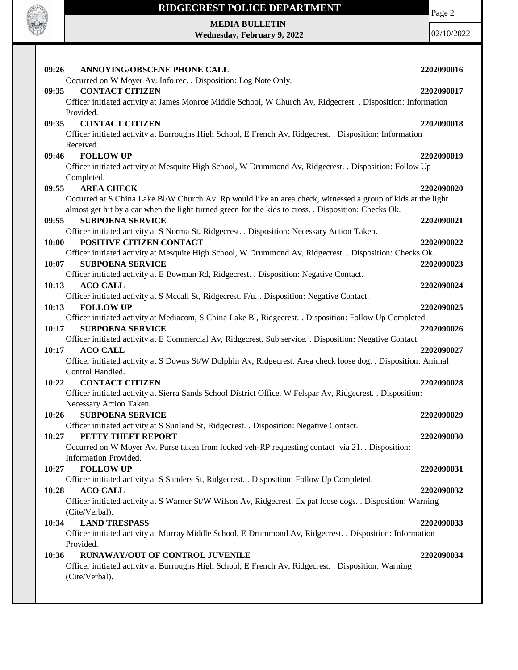

**MEDIA BULLETIN**

**Wednesday, February 9, 2022**

Page 2

| 09:26<br><b>ANNOYING/OBSCENE PHONE CALL</b>                                                                            | 2202090016 |
|------------------------------------------------------------------------------------------------------------------------|------------|
| Occurred on W Moyer Av. Info rec. . Disposition: Log Note Only.                                                        |            |
| <b>CONTACT CITIZEN</b><br>09:35                                                                                        | 2202090017 |
| Officer initiated activity at James Monroe Middle School, W Church Av, Ridgecrest. . Disposition: Information          |            |
| Provided.                                                                                                              |            |
| <b>CONTACT CITIZEN</b><br>09:35                                                                                        | 2202090018 |
| Officer initiated activity at Burroughs High School, E French Av, Ridgecrest. . Disposition: Information               |            |
| Received.                                                                                                              |            |
| <b>FOLLOW UP</b><br>09:46                                                                                              | 2202090019 |
| Officer initiated activity at Mesquite High School, W Drummond Av, Ridgecrest. . Disposition: Follow Up                |            |
| Completed.                                                                                                             |            |
| <b>AREA CHECK</b><br>09:55                                                                                             | 2202090020 |
| Occurred at S China Lake Bl/W Church Av. Rp would like an area check, witnessed a group of kids at the light           |            |
| almost get hit by a car when the light turned green for the kids to cross. . Disposition: Checks Ok.                   |            |
| <b>SUBPOENA SERVICE</b><br>09:55                                                                                       | 2202090021 |
| Officer initiated activity at S Norma St, Ridgecrest. . Disposition: Necessary Action Taken.                           |            |
| 10:00<br>POSITIVE CITIZEN CONTACT                                                                                      | 2202090022 |
| Officer initiated activity at Mesquite High School, W Drummond Av, Ridgecrest. . Disposition: Checks Ok.               |            |
| 10:07<br><b>SUBPOENA SERVICE</b>                                                                                       | 2202090023 |
| Officer initiated activity at E Bowman Rd, Ridgecrest. . Disposition: Negative Contact.                                |            |
| <b>ACO CALL</b><br>10:13                                                                                               | 2202090024 |
| Officer initiated activity at S Mccall St, Ridgecrest. F/u. . Disposition: Negative Contact.                           |            |
| <b>FOLLOW UP</b><br>10:13                                                                                              | 2202090025 |
| Officer initiated activity at Mediacom, S China Lake Bl, Ridgecrest. . Disposition: Follow Up Completed.               |            |
| <b>SUBPOENA SERVICE</b><br>10:17                                                                                       | 2202090026 |
| Officer initiated activity at E Commercial Av, Ridgecrest. Sub service. . Disposition: Negative Contact.               |            |
| <b>ACO CALL</b><br>10:17                                                                                               | 2202090027 |
| Officer initiated activity at S Downs St/W Dolphin Av, Ridgecrest. Area check loose dog. . Disposition: Animal         |            |
| Control Handled.                                                                                                       |            |
| <b>CONTACT CITIZEN</b><br>10:22                                                                                        | 2202090028 |
| Officer initiated activity at Sierra Sands School District Office, W Felspar Av, Ridgecrest. . Disposition:            |            |
| Necessary Action Taken.                                                                                                |            |
| 10:26<br><b>SUBPOENA SERVICE</b>                                                                                       | 2202090029 |
| Officer initiated activity at S Sunland St, Ridgecrest. . Disposition: Negative Contact.                               |            |
| PETTY THEFT REPORT<br>10:27                                                                                            | 2202090030 |
| Occurred on W Moyer Av. Purse taken from locked veh-RP requesting contact via 21. Disposition:                         |            |
| Information Provided.                                                                                                  |            |
| <b>FOLLOW UP</b><br>10:27                                                                                              | 2202090031 |
| Officer initiated activity at S Sanders St, Ridgecrest. . Disposition: Follow Up Completed.                            |            |
| 10:28<br><b>ACO CALL</b>                                                                                               | 2202090032 |
| Officer initiated activity at S Warner St/W Wilson Av, Ridgecrest. Ex pat loose dogs. . Disposition: Warning           |            |
| (Cite/Verbal).                                                                                                         |            |
| <b>LAND TRESPASS</b><br>10:34                                                                                          | 2202090033 |
| Officer initiated activity at Murray Middle School, E Drummond Av, Ridgecrest. . Disposition: Information              |            |
| Provided.                                                                                                              |            |
| RUNAWAY/OUT OF CONTROL JUVENILE<br>10:36                                                                               | 2202090034 |
| Officer initiated activity at Burroughs High School, E French Av, Ridgecrest. . Disposition: Warning<br>(Cite/Verbal). |            |
|                                                                                                                        |            |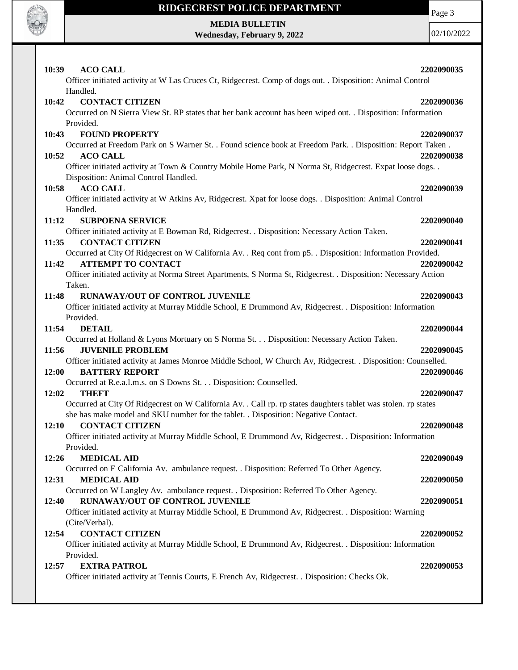

**MEDIA BULLETIN**

**Wednesday, February 9, 2022**

Page 3

| 10:39<br><b>ACO CALL</b>                                                                                                | 2202090035 |
|-------------------------------------------------------------------------------------------------------------------------|------------|
| Officer initiated activity at W Las Cruces Ct, Ridgecrest. Comp of dogs out. . Disposition: Animal Control              |            |
| Handled.                                                                                                                |            |
| <b>CONTACT CITIZEN</b><br>10:42                                                                                         | 2202090036 |
| Occurred on N Sierra View St. RP states that her bank account has been wiped out. . Disposition: Information            |            |
| Provided.                                                                                                               |            |
| <b>FOUND PROPERTY</b><br>10:43                                                                                          | 2202090037 |
| Occurred at Freedom Park on S Warner St. . Found science book at Freedom Park. . Disposition: Report Taken.             |            |
| 10:52<br><b>ACO CALL</b>                                                                                                | 2202090038 |
| Officer initiated activity at Town & Country Mobile Home Park, N Norma St, Ridgecrest. Expat loose dogs. .              |            |
| Disposition: Animal Control Handled.                                                                                    |            |
| <b>ACO CALL</b><br>10:58                                                                                                | 2202090039 |
| Officer initiated activity at W Atkins Av, Ridgecrest. Xpat for loose dogs. . Disposition: Animal Control               |            |
| Handled.                                                                                                                |            |
| 11:12<br><b>SUBPOENA SERVICE</b>                                                                                        | 2202090040 |
| Officer initiated activity at E Bowman Rd, Ridgecrest. . Disposition: Necessary Action Taken.                           |            |
| <b>CONTACT CITIZEN</b><br>11:35                                                                                         | 2202090041 |
| Occurred at City Of Ridgecrest on W California Av. . Req cont from p5. . Disposition: Information Provided.             |            |
| <b>ATTEMPT TO CONTACT</b><br>11:42                                                                                      | 2202090042 |
| Officer initiated activity at Norma Street Apartments, S Norma St, Ridgecrest. . Disposition: Necessary Action          |            |
| Taken.                                                                                                                  |            |
| RUNAWAY/OUT OF CONTROL JUVENILE<br>11:48                                                                                | 2202090043 |
| Officer initiated activity at Murray Middle School, E Drummond Av, Ridgecrest. . Disposition: Information               |            |
| Provided.                                                                                                               |            |
| <b>DETAIL</b><br>11:54                                                                                                  | 2202090044 |
| Occurred at Holland & Lyons Mortuary on S Norma St. Disposition: Necessary Action Taken.                                |            |
| <b>JUVENILE PROBLEM</b><br>11:56                                                                                        | 2202090045 |
| Officer initiated activity at James Monroe Middle School, W Church Av, Ridgecrest. . Disposition: Counselled.           |            |
| 12:00<br><b>BATTERY REPORT</b>                                                                                          | 2202090046 |
| Occurred at R.e.a.l.m.s. on S Downs St. Disposition: Counselled.<br>12:02                                               | 2202090047 |
| THEFT<br>Occurred at City Of Ridgecrest on W California Av. . Call rp. rp states daughters tablet was stolen. rp states |            |
| she has make model and SKU number for the tablet. . Disposition: Negative Contact.                                      |            |
| <b>CONTACT CITIZEN</b><br>12:10                                                                                         | 2202090048 |
| Officer initiated activity at Murray Middle School, E Drummond Av, Ridgecrest. . Disposition: Information               |            |
| Provided.                                                                                                               |            |
| 12:26<br><b>MEDICAL AID</b>                                                                                             | 2202090049 |
| Occurred on E California Av. ambulance request. . Disposition: Referred To Other Agency.                                |            |
| 12:31<br><b>MEDICAL AID</b>                                                                                             | 2202090050 |
| Occurred on W Langley Av. ambulance request. . Disposition: Referred To Other Agency.                                   |            |
| <b>RUNAWAY/OUT OF CONTROL JUVENILE</b><br>12:40                                                                         | 2202090051 |
| Officer initiated activity at Murray Middle School, E Drummond Av, Ridgecrest. . Disposition: Warning                   |            |
| (Cite/Verbal).                                                                                                          |            |
| <b>CONTACT CITIZEN</b><br>12:54                                                                                         | 2202090052 |
| Officer initiated activity at Murray Middle School, E Drummond Av, Ridgecrest. . Disposition: Information               |            |
| Provided.                                                                                                               |            |
| <b>EXTRA PATROL</b><br>12:57                                                                                            | 2202090053 |
| Officer initiated activity at Tennis Courts, E French Av, Ridgecrest. . Disposition: Checks Ok.                         |            |
|                                                                                                                         |            |
|                                                                                                                         |            |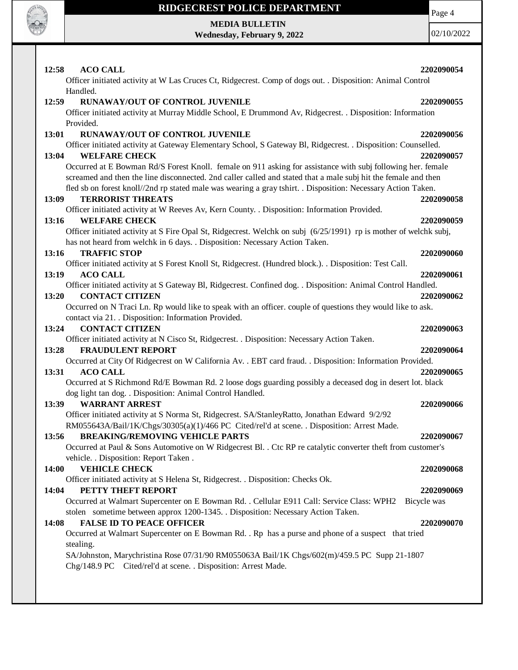

**MEDIA BULLETIN Wednesday, February 9, 2022** Page 4

| 12:58<br><b>ACO CALL</b>                                                                                                                                       | 2202090054  |
|----------------------------------------------------------------------------------------------------------------------------------------------------------------|-------------|
| Officer initiated activity at W Las Cruces Ct, Ridgecrest. Comp of dogs out. . Disposition: Animal Control                                                     |             |
| Handled.                                                                                                                                                       |             |
| RUNAWAY/OUT OF CONTROL JUVENILE<br>12:59                                                                                                                       | 2202090055  |
| Officer initiated activity at Murray Middle School, E Drummond Av, Ridgecrest. . Disposition: Information                                                      |             |
| Provided.                                                                                                                                                      |             |
| RUNAWAY/OUT OF CONTROL JUVENILE<br>13:01                                                                                                                       | 2202090056  |
| Officer initiated activity at Gateway Elementary School, S Gateway Bl, Ridgecrest. . Disposition: Counselled.                                                  |             |
| <b>WELFARE CHECK</b><br>13:04                                                                                                                                  | 2202090057  |
| Occurred at E Bowman Rd/S Forest Knoll. female on 911 asking for assistance with subj following her. female                                                    |             |
| screamed and then the line disconnected. 2nd caller called and stated that a male subj hit the female and then                                                 |             |
| fled sb on forest knoll//2nd rp stated male was wearing a gray tshirt. . Disposition: Necessary Action Taken.                                                  |             |
| <b>TERRORIST THREATS</b><br>13:09                                                                                                                              | 2202090058  |
| Officer initiated activity at W Reeves Av, Kern County. . Disposition: Information Provided.                                                                   |             |
| 13:16<br><b>WELFARE CHECK</b>                                                                                                                                  | 2202090059  |
| Officer initiated activity at S Fire Opal St, Ridgecrest. Welchk on subj (6/25/1991) rp is mother of welchk subj,                                              |             |
| has not heard from welchk in 6 days. . Disposition: Necessary Action Taken.                                                                                    |             |
| 13:16<br><b>TRAFFIC STOP</b>                                                                                                                                   | 2202090060  |
| Officer initiated activity at S Forest Knoll St, Ridgecrest. (Hundred block.). . Disposition: Test Call.                                                       |             |
| <b>ACO CALL</b><br>13:19                                                                                                                                       | 2202090061  |
| Officer initiated activity at S Gateway Bl, Ridgecrest. Confined dog. . Disposition: Animal Control Handled.<br><b>CONTACT CITIZEN</b><br>13:20                | 2202090062  |
| Occurred on N Traci Ln. Rp would like to speak with an officer. couple of questions they would like to ask.                                                    |             |
| contact via 21. Disposition: Information Provided.                                                                                                             |             |
| <b>CONTACT CITIZEN</b><br>13:24                                                                                                                                | 2202090063  |
| Officer initiated activity at N Cisco St, Ridgecrest. . Disposition: Necessary Action Taken.                                                                   |             |
| <b>FRAUDULENT REPORT</b><br>13:28                                                                                                                              | 2202090064  |
| Occurred at City Of Ridgecrest on W California Av. . EBT card fraud. . Disposition: Information Provided.                                                      |             |
| 13:31<br><b>ACO CALL</b>                                                                                                                                       | 2202090065  |
| Occurred at S Richmond Rd/E Bowman Rd. 2 loose dogs guarding possibly a deceased dog in desert lot. black                                                      |             |
| dog light tan dog. . Disposition: Animal Control Handled.                                                                                                      |             |
| 13:39<br><b>WARRANT ARREST</b>                                                                                                                                 | 2202090066  |
| Officer initiated activity at S Norma St, Ridgecrest. SA/StanleyRatto, Jonathan Edward 9/2/92                                                                  |             |
| RM055643A/Bail/1K/Chgs/30305(a)(1)/466 PC Cited/rel'd at scene. . Disposition: Arrest Made.                                                                    |             |
| <b>BREAKING/REMOVING VEHICLE PARTS</b><br>13:56                                                                                                                | 2202090067  |
| Occurred at Paul & Sons Automotive on W Ridgecrest Bl. . Ctc RP re catalytic converter theft from customer's                                                   |             |
| vehicle. . Disposition: Report Taken .                                                                                                                         |             |
| <b>VEHICLE CHECK</b><br><b>14:00</b>                                                                                                                           | 2202090068  |
| Officer initiated activity at S Helena St, Ridgecrest. . Disposition: Checks Ok.                                                                               |             |
| PETTY THEFT REPORT<br>14:04                                                                                                                                    | 2202090069  |
| Occurred at Walmart Supercenter on E Bowman Rd. . Cellular E911 Call: Service Class: WPH2                                                                      | Bicycle was |
| stolen sometime between approx 1200-1345. Disposition: Necessary Action Taken.                                                                                 |             |
| <b>FALSE ID TO PEACE OFFICER</b><br>14:08                                                                                                                      | 2202090070  |
| Occurred at Walmart Supercenter on E Bowman Rd. . Rp has a purse and phone of a suspect that tried                                                             |             |
| stealing.                                                                                                                                                      |             |
| SA/Johnston, Marychristina Rose 07/31/90 RM055063A Bail/1K Chgs/602(m)/459.5 PC Supp 21-1807<br>Chg/148.9 PC Cited/rel'd at scene. . Disposition: Arrest Made. |             |
|                                                                                                                                                                |             |
|                                                                                                                                                                |             |
|                                                                                                                                                                |             |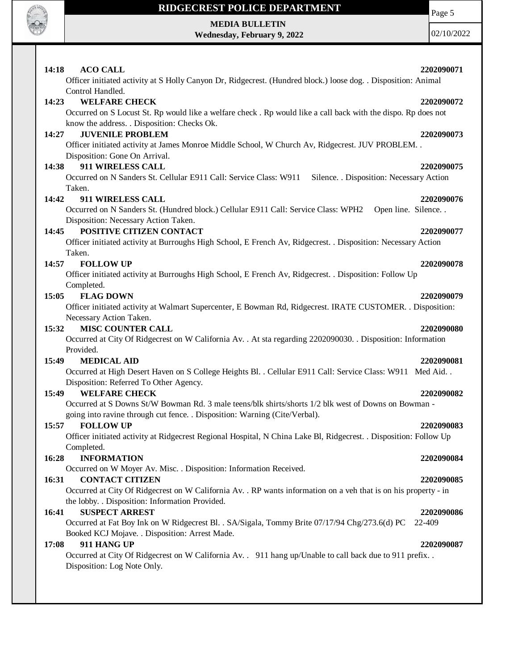

**MEDIA BULLETIN Wednesday, February 9, 2022** Page 5

| 14:18<br><b>ACO CALL</b>                                                                                                           | 2202090071            |
|------------------------------------------------------------------------------------------------------------------------------------|-----------------------|
| Officer initiated activity at S Holly Canyon Dr, Ridgecrest. (Hundred block.) loose dog. . Disposition: Animal                     |                       |
| Control Handled.                                                                                                                   |                       |
| <b>WELFARE CHECK</b><br>14:23                                                                                                      | 2202090072            |
| Occurred on S Locust St. Rp would like a welfare check. Rp would like a call back with the dispo. Rp does not                      |                       |
| know the address. . Disposition: Checks Ok.<br><b>JUVENILE PROBLEM</b>                                                             |                       |
| 14:27                                                                                                                              | 2202090073            |
| Officer initiated activity at James Monroe Middle School, W Church Av, Ridgecrest. JUV PROBLEM. .<br>Disposition: Gone On Arrival. |                       |
| 911 WIRELESS CALL<br>14:38                                                                                                         | 2202090075            |
| Occurred on N Sanders St. Cellular E911 Call: Service Class: W911 Silence. . Disposition: Necessary Action                         |                       |
| Taken.                                                                                                                             |                       |
| 14:42<br>911 WIRELESS CALL                                                                                                         | 2202090076            |
| Occurred on N Sanders St. (Hundred block.) Cellular E911 Call: Service Class: WPH2                                                 | Open line. Silence. . |
| Disposition: Necessary Action Taken.                                                                                               |                       |
| POSITIVE CITIZEN CONTACT<br>14:45                                                                                                  | 2202090077            |
| Officer initiated activity at Burroughs High School, E French Av, Ridgecrest. . Disposition: Necessary Action                      |                       |
| Taken.                                                                                                                             |                       |
| <b>FOLLOW UP</b><br>14:57                                                                                                          | 2202090078            |
| Officer initiated activity at Burroughs High School, E French Av, Ridgecrest. . Disposition: Follow Up                             |                       |
| Completed.                                                                                                                         |                       |
| 15:05<br><b>FLAG DOWN</b>                                                                                                          | 2202090079            |
| Officer initiated activity at Walmart Supercenter, E Bowman Rd, Ridgecrest. IRATE CUSTOMER. . Disposition:                         |                       |
| Necessary Action Taken.                                                                                                            |                       |
| 15:32<br><b>MISC COUNTER CALL</b>                                                                                                  | 2202090080            |
| Occurred at City Of Ridgecrest on W California Av. . At sta regarding 2202090030. . Disposition: Information                       |                       |
| Provided.                                                                                                                          |                       |
| <b>MEDICAL AID</b><br>15:49                                                                                                        | 2202090081            |
| Occurred at High Desert Haven on S College Heights Bl. . Cellular E911 Call: Service Class: W911 Med Aid. .                        |                       |
| Disposition: Referred To Other Agency.                                                                                             |                       |
| <b>WELFARE CHECK</b><br>15:49                                                                                                      | 2202090082            |
| Occurred at S Downs St/W Bowman Rd. 3 male teens/blk shirts/shorts 1/2 blk west of Downs on Bowman -                               |                       |
| going into ravine through cut fence. . Disposition: Warning (Cite/Verbal).                                                         |                       |
| 15:57<br><b>FOLLOW UP</b>                                                                                                          | 2202090083            |
| Officer initiated activity at Ridgecrest Regional Hospital, N China Lake Bl, Ridgecrest. . Disposition: Follow Up                  |                       |
| Completed.                                                                                                                         |                       |
| 16:28<br><b>INFORMATION</b>                                                                                                        | 2202090084            |
| Occurred on W Moyer Av. Misc. . Disposition: Information Received.                                                                 |                       |
| <b>CONTACT CITIZEN</b><br>16:31                                                                                                    | 2202090085            |
| Occurred at City Of Ridgecrest on W California Av. . RP wants information on a veh that is on his property - in                    |                       |
| the lobby. . Disposition: Information Provided.                                                                                    |                       |
| <b>SUSPECT ARREST</b><br>16:41                                                                                                     | 2202090086            |
| Occurred at Fat Boy Ink on W Ridgecrest Bl. . SA/Sigala, Tommy Brite 07/17/94 Chg/273.6(d) PC                                      | 22-409                |
| Booked KCJ Mojave. . Disposition: Arrest Made.                                                                                     |                       |
| 17:08<br>911 HANG UP                                                                                                               | 2202090087            |
|                                                                                                                                    |                       |
| Occurred at City Of Ridgecrest on W California Av. . 911 hang up/Unable to call back due to 911 prefix                             |                       |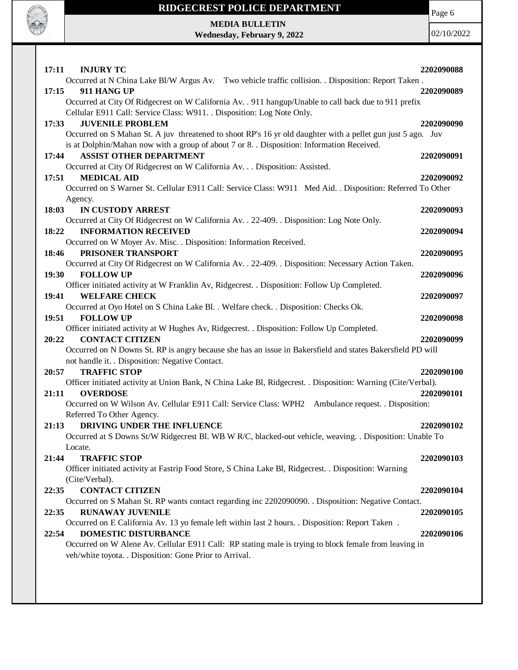

Page 6

**MEDIA BULLETIN Wednesday, February 9, 2022**

| <b>INJURY TC</b><br>17:11                                                                                                                                                                               | 2202090088 |
|---------------------------------------------------------------------------------------------------------------------------------------------------------------------------------------------------------|------------|
| Occurred at N China Lake Bl/W Argus Av. Two vehicle traffic collision. . Disposition: Report Taken.                                                                                                     |            |
| 17:15<br>911 HANG UP                                                                                                                                                                                    | 2202090089 |
| Occurred at City Of Ridgecrest on W California Av. . 911 hangup/Unable to call back due to 911 prefix                                                                                                   |            |
| Cellular E911 Call: Service Class: W911. . Disposition: Log Note Only.                                                                                                                                  |            |
| <b>JUVENILE PROBLEM</b><br>17:33                                                                                                                                                                        | 2202090090 |
| Occurred on S Mahan St. A juv threatened to shoot RP's 16 yr old daughter with a pellet gun just 5 ago. Juv<br>is at Dolphin/Mahan now with a group of about 7 or 8. Disposition: Information Received. |            |
| <b>ASSIST OTHER DEPARTMENT</b><br>17:44                                                                                                                                                                 | 2202090091 |
| Occurred at City Of Ridgecrest on W California Av. Disposition: Assisted.                                                                                                                               |            |
| <b>MEDICAL AID</b><br>17:51                                                                                                                                                                             | 2202090092 |
| Occurred on S Warner St. Cellular E911 Call: Service Class: W911 Med Aid. . Disposition: Referred To Other                                                                                              |            |
| Agency.                                                                                                                                                                                                 |            |
| 18:03<br>IN CUSTODY ARREST                                                                                                                                                                              | 2202090093 |
| Occurred at City Of Ridgecrest on W California Av. . 22-409. . Disposition: Log Note Only.                                                                                                              |            |
| <b>INFORMATION RECEIVED</b><br>18:22                                                                                                                                                                    | 2202090094 |
| Occurred on W Moyer Av. Misc. . Disposition: Information Received.                                                                                                                                      |            |
| PRISONER TRANSPORT<br>18:46                                                                                                                                                                             | 2202090095 |
| Occurred at City Of Ridgecrest on W California Av. . 22-409. . Disposition: Necessary Action Taken.                                                                                                     |            |
| <b>FOLLOW UP</b><br>19:30                                                                                                                                                                               | 2202090096 |
| Officer initiated activity at W Franklin Av, Ridgecrest. . Disposition: Follow Up Completed.                                                                                                            |            |
| <b>WELFARE CHECK</b><br>19:41                                                                                                                                                                           | 2202090097 |
| Occurred at Oyo Hotel on S China Lake Bl. . Welfare check. . Disposition: Checks Ok.                                                                                                                    |            |
| 19:51<br><b>FOLLOW UP</b>                                                                                                                                                                               | 2202090098 |
| Officer initiated activity at W Hughes Av, Ridgecrest. . Disposition: Follow Up Completed.                                                                                                              |            |
| <b>CONTACT CITIZEN</b><br>20:22                                                                                                                                                                         | 2202090099 |
| Occurred on N Downs St. RP is angry because she has an issue in Bakersfield and states Bakersfield PD will                                                                                              |            |
| not handle it. . Disposition: Negative Contact.                                                                                                                                                         |            |
| <b>TRAFFIC STOP</b><br>20:57                                                                                                                                                                            | 2202090100 |
| Officer initiated activity at Union Bank, N China Lake Bl, Ridgecrest. . Disposition: Warning (Cite/Verbal).                                                                                            |            |
| 21:11<br><b>OVERDOSE</b>                                                                                                                                                                                | 2202090101 |
| Occurred on W Wilson Av. Cellular E911 Call: Service Class: WPH2 Ambulance request. . Disposition:                                                                                                      |            |
| Referred To Other Agency.                                                                                                                                                                               |            |
| DRIVING UNDER THE INFLUENCE<br>21:13                                                                                                                                                                    | 2202090102 |
| Occurred at S Downs St/W Ridgecrest Bl. WB W R/C, blacked-out vehicle, weaving. . Disposition: Unable To                                                                                                |            |
| Locate.                                                                                                                                                                                                 |            |
| 21:44<br><b>TRAFFIC STOP</b>                                                                                                                                                                            | 2202090103 |
| Officer initiated activity at Fastrip Food Store, S China Lake Bl, Ridgecrest. . Disposition: Warning                                                                                                   |            |
| (Cite/Verbal).                                                                                                                                                                                          |            |
| <b>CONTACT CITIZEN</b><br>22:35                                                                                                                                                                         | 2202090104 |
| Occurred on S Mahan St. RP wants contact regarding inc 2202090090. . Disposition: Negative Contact.                                                                                                     |            |
| <b>RUNAWAY JUVENILE</b><br>22:35                                                                                                                                                                        | 2202090105 |
| Occurred on E California Av. 13 yo female left within last 2 hours. . Disposition: Report Taken.<br>DOMESTIC DISTURBANCE                                                                                | 2202090106 |
| 22:54<br>Occurred on W Alene Av. Cellular E911 Call: RP stating male is trying to block female from leaving in                                                                                          |            |
| veh/white toyota. . Disposition: Gone Prior to Arrival.                                                                                                                                                 |            |
|                                                                                                                                                                                                         |            |
|                                                                                                                                                                                                         |            |
|                                                                                                                                                                                                         |            |